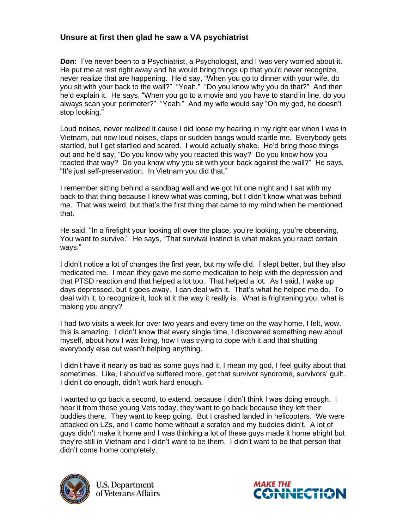## **Unsure at first then glad he saw a VA psychiatrist**

**Don:** I've never been to a Psychiatrist, a Psychologist, and I was very worried about it. He put me at rest right away and he would bring things up that you'd never recognize, never realize that are happening. He'd say, "When you go to dinner with your wife, do you sit with your back to the wall?" "Yeah." "Do you know why you do that?" And then he'd explain it. He says, "When you go to a movie and you have to stand in line, do you always scan your perimeter?" "Yeah." And my wife would say "Oh my god, he doesn't stop looking."

Loud noises, never realized it cause I did loose my hearing in my right ear when I was in Vietnam, but now loud noises, claps or sudden bangs would startle me. Everybody gets startled, but I get startled and scared. I would actually shake. He'd bring those things out and he'd say, "Do you know why you reacted this way? Do you know how you reacted that way? Do you know why you sit with your back against the wall?" He says, "It's just self-preservation. In Vietnam you did that."

I remember sitting behind a sandbag wall and we got hit one night and I sat with my back to that thing because I knew what was coming, but I didn't know what was behind me. That was weird, but that's the first thing that came to my mind when he mentioned that.

He said, "In a firefight your looking all over the place, you're looking, you're observing. You want to survive." He says, "That survival instinct is what makes you react certain ways."

I didn't notice a lot of changes the first year, but my wife did. I slept better, but they also medicated me. I mean they gave me some medication to help with the depression and that PTSD reaction and that helped a lot too. That helped a lot. As I said, I wake up days depressed, but it goes away. I can deal with it. That's what he helped me do. To deal with it, to recognize it, look at it the way it really is. What is frightening you, what is making you angry?

I had two visits a week for over two years and every time on the way home, I felt, wow, this is amazing. I didn't know that every single time, I discovered something new about myself, about how I was living, how I was trying to cope with it and that shutting everybody else out wasn't helping anything.

I didn't have it nearly as bad as some guys had it, I mean my god, I feel guilty about that sometimes. Like, I should've suffered more, get that survivor syndrome, survivors' guilt. I didn't do enough, didn't work hard enough.

I wanted to go back a second, to extend, because I didn't think I was doing enough. I hear it from these young Vets today, they want to go back because they left their buddies there. They want to keep going. But I crashed landed in helicopters. We were attacked on LZs, and I came home without a scratch and my buddies didn't. A lot of guys didn't make it home and I was thinking a lot of these guys made it home alright but they're still in Vietnam and I didn't want to be them. I didn't want to be that person that didn't come home completely.



**U.S. Department** of Veterans Affairs